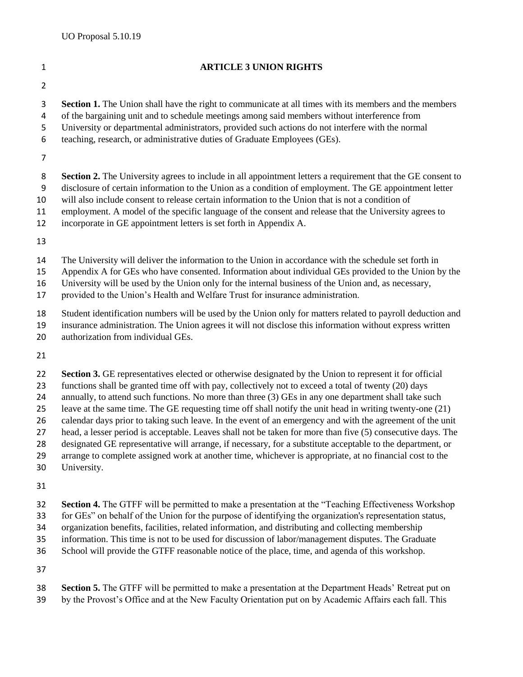## **ARTICLE 3 UNION RIGHTS Section 1.** The Union shall have the right to communicate at all times with its members and the members of the bargaining unit and to schedule meetings among said members without interference from University or departmental administrators, provided such actions do not interfere with the normal teaching, research, or administrative duties of Graduate Employees (GEs). 8 **Section 2.** The University agrees to include in all appointment letters a requirement that the GE consent to disclosure of certain information to the Union as a condition of employment. The GE appointment letter will also include consent to release certain information to the Union that is not a condition of employment. A model of the specific language of the consent and release that the University agrees to incorporate in GE appointment letters is set forth in Appendix A. The University will deliver the information to the Union in accordance with the schedule set forth in Appendix A for GEs who have consented. Information about individual GEs provided to the Union by the University will be used by the Union only for the internal business of the Union and, as necessary, provided to the Union's Health and Welfare Trust for insurance administration. Student identification numbers will be used by the Union only for matters related to payroll deduction and insurance administration. The Union agrees it will not disclose this information without express written authorization from individual GEs. **Section 3.** GE representatives elected or otherwise designated by the Union to represent it for official functions shall be granted time off with pay, collectively not to exceed a total of twenty (20) days 24 annually, to attend such functions. No more than three (3) GEs in any one department shall take such leave at the same time. The GE requesting time off shall notify the unit head in writing twenty-one (21) calendar days prior to taking such leave. In the event of an emergency and with the agreement of the unit head, a lesser period is acceptable. Leaves shall not be taken for more than five (5) consecutive days. The designated GE representative will arrange, if necessary, for a substitute acceptable to the department, or

- arrange to complete assigned work at another time, whichever is appropriate, at no financial cost to the
- University.
- 
- **Section 4.** The GTFF will be permitted to make a presentation at the "Teaching Effectiveness Workshop
- for GEs" on behalf of the Union for the purpose of identifying the organization's representation status,
- organization benefits, facilities, related information, and distributing and collecting membership
- information. This time is not to be used for discussion of labor/management disputes. The Graduate
- School will provide the GTFF reasonable notice of the place, time, and agenda of this workshop.

- **Section 5.** The GTFF will be permitted to make a presentation at the Department Heads' Retreat put on
- by the Provost's Office and at the New Faculty Orientation put on by Academic Affairs each fall. This